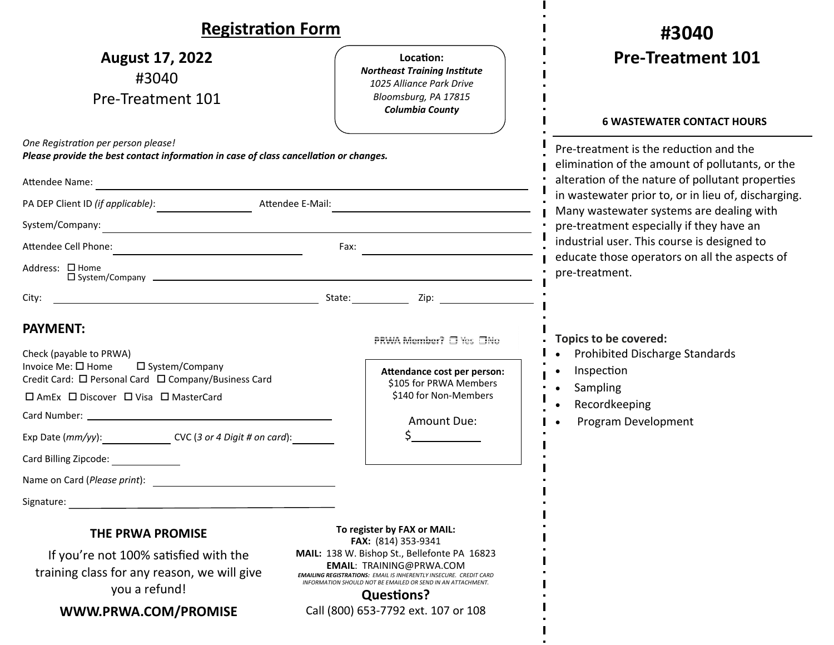### **RegistraƟon Form**

| <b>Registration Form</b>                                                                                                                                                                                                                                                                                                                                                                                                                                                                                      |                                                                                                                                                                                                                                                                                                                                                                                                                                                                         | #3040                                                                                                                                                                                                                                            |  |
|---------------------------------------------------------------------------------------------------------------------------------------------------------------------------------------------------------------------------------------------------------------------------------------------------------------------------------------------------------------------------------------------------------------------------------------------------------------------------------------------------------------|-------------------------------------------------------------------------------------------------------------------------------------------------------------------------------------------------------------------------------------------------------------------------------------------------------------------------------------------------------------------------------------------------------------------------------------------------------------------------|--------------------------------------------------------------------------------------------------------------------------------------------------------------------------------------------------------------------------------------------------|--|
| <b>August 17, 2022</b><br>#3040<br>Pre-Treatment 101                                                                                                                                                                                                                                                                                                                                                                                                                                                          | Location:<br><b>Northeast Training Institute</b><br>1025 Alliance Park Drive<br>Bloomsburg, PA 17815<br><b>Columbia County</b>                                                                                                                                                                                                                                                                                                                                          | <b>Pre-Treatment 101</b><br><b>6 WASTEWATER CONTACT HOURS</b>                                                                                                                                                                                    |  |
| One Registration per person please!<br>Please provide the best contact information in case of class cancellation or changes.<br>Attendee Name:<br><u> 1989 - Johann John Stein, markin film yn y brening yn y brening yn y brening yn y brening y brening yn y bre</u><br>Attendee E-Mail:                                                                                                                                                                                                                    |                                                                                                                                                                                                                                                                                                                                                                                                                                                                         | Pre-treatment is the reduction and the<br>elimination of the amount of pollutants, or the<br>alteration of the nature of pollutant properties<br>in wastewater prior to, or in lieu of, discharging.<br>Many wastewater systems are dealing with |  |
| System/Company:                                                                                                                                                                                                                                                                                                                                                                                                                                                                                               |                                                                                                                                                                                                                                                                                                                                                                                                                                                                         | pre-treatment especially if they have an                                                                                                                                                                                                         |  |
|                                                                                                                                                                                                                                                                                                                                                                                                                                                                                                               |                                                                                                                                                                                                                                                                                                                                                                                                                                                                         | industrial user. This course is designed to                                                                                                                                                                                                      |  |
| Address: □ Home                                                                                                                                                                                                                                                                                                                                                                                                                                                                                               |                                                                                                                                                                                                                                                                                                                                                                                                                                                                         | educate those operators on all the aspects of<br>pre-treatment.                                                                                                                                                                                  |  |
|                                                                                                                                                                                                                                                                                                                                                                                                                                                                                                               |                                                                                                                                                                                                                                                                                                                                                                                                                                                                         |                                                                                                                                                                                                                                                  |  |
| <b>PAYMENT:</b><br>Check (payable to PRWA)<br>□ System/Company<br>Invoice Me: □ Home<br>Credit Card: □ Personal Card □ Company/Business Card<br>□ AmEx □ Discover □ Visa □ MasterCard<br>Exp Date $(mm/yy)$ : $CVC$ (3 or 4 Digit # on card):<br>Card Billing Zipcode:<br>Name on Card (Please print): Name on Card (Please print):<br>Signature:<br><b>THE PRWA PROMISE</b><br>If you're not 100% satisfied with the<br>training class for any reason, we will give<br>you a refund!<br>WWW.PRWA.COM/PROMISE | PRWA Member? □ Yes □No<br>Attendance cost per person:<br>\$105 for PRWA Members<br>\$140 for Non-Members<br>Amount Due:<br>To register by FAX or MAIL:<br>FAX: (814) 353-9341<br>MAIL: 138 W. Bishop St., Bellefonte PA 16823<br><b>EMAIL: TRAINING@PRWA.COM</b><br><b>EMAILING REGISTRATIONS: EMAIL IS INHERENTLY INSECURE. CREDIT CARD</b><br>INFORMATION SHOULD NOT BE EMAILED OR SEND IN AN ATTACHMENT.<br><b>Questions?</b><br>Call (800) 653-7792 ext. 107 or 108 | Topics to be covered:<br><b>Prohibited Discharge Standards</b><br>Inspection<br>Sampling<br>Recordkeeping<br>Program Development                                                                                                                 |  |

L,  $\bullet$ 

 $\mathbf{I}$  $\bullet$